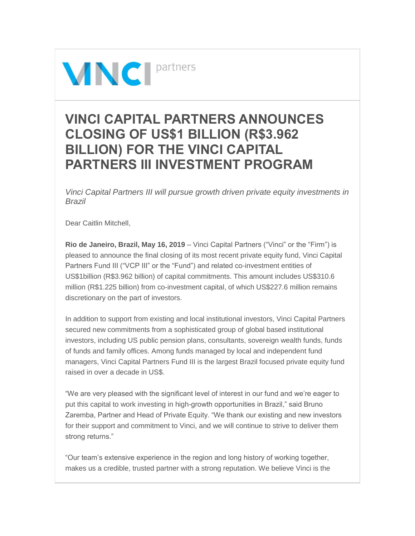

## **VINCI CAPITAL PARTNERS ANNOUNCES CLOSING OF US\$1 BILLION (R\$3.962 BILLION) FOR THE VINCI CAPITAL PARTNERS III INVESTMENT PROGRAM**

*Vinci Capital Partners III will pursue growth driven private equity investments in Brazil*

Dear Caitlin Mitchell,

**Rio de Janeiro, Brazil, May 16, 2019** – Vinci Capital Partners ("Vinci" or the "Firm") is pleased to announce the final closing of its most recent private equity fund, Vinci Capital Partners Fund III ("VCP III" or the "Fund") and related co-investment entities of US\$1billion (R\$3.962 billion) of capital commitments. This amount includes US\$310.6 million (R\$1.225 billion) from co-investment capital, of which US\$227.6 million remains discretionary on the part of investors.

In addition to support from existing and local institutional investors, Vinci Capital Partners secured new commitments from a sophisticated group of global based institutional investors, including US public pension plans, consultants, sovereign wealth funds, funds of funds and family offices. Among funds managed by local and independent fund managers, Vinci Capital Partners Fund III is the largest Brazil focused private equity fund raised in over a decade in US\$.

"We are very pleased with the significant level of interest in our fund and we're eager to put this capital to work investing in high-growth opportunities in Brazil," said Bruno Zaremba, Partner and Head of Private Equity. "We thank our existing and new investors for their support and commitment to Vinci, and we will continue to strive to deliver them strong returns."

"Our team's extensive experience in the region and long history of working together, makes us a credible, trusted partner with a strong reputation. We believe Vinci is the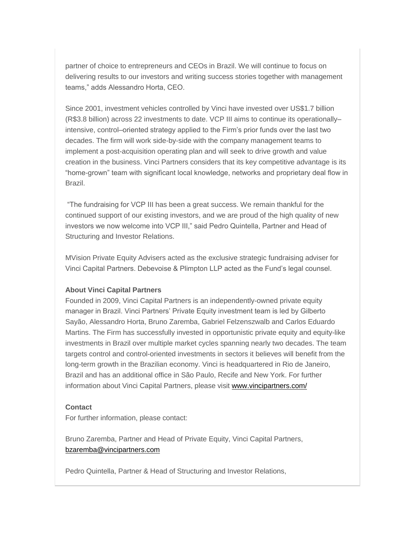partner of choice to entrepreneurs and CEOs in Brazil. We will continue to focus on delivering results to our investors and writing success stories together with management teams," adds Alessandro Horta, CEO.

Since 2001, investment vehicles controlled by Vinci have invested over US\$1.7 billion (R\$3.8 billion) across 22 investments to date. VCP III aims to continue its operationally– intensive, control–oriented strategy applied to the Firm's prior funds over the last two decades. The firm will work side-by-side with the company management teams to implement a post-acquisition operating plan and will seek to drive growth and value creation in the business. Vinci Partners considers that its key competitive advantage is its "home-grown" team with significant local knowledge, networks and proprietary deal flow in Brazil.

"The fundraising for VCP III has been a great success. We remain thankful for the continued support of our existing investors, and we are proud of the high quality of new investors we now welcome into VCP III," said Pedro Quintella, Partner and Head of Structuring and Investor Relations.

MVision Private Equity Advisers acted as the exclusive strategic fundraising adviser for Vinci Capital Partners. Debevoise & Plimpton LLP acted as the Fund's legal counsel.

## **About Vinci Capital Partners**

Founded in 2009, Vinci Capital Partners is an independently-owned private equity manager in Brazil. Vinci Partners' Private Equity investment team is led by Gilberto Sayão, Alessandro Horta, Bruno Zaremba, Gabriel Felzenszwalb and Carlos Eduardo Martins. The Firm has successfully invested in opportunistic private equity and equity-like investments in Brazil over multiple market cycles spanning nearly two decades. The team targets control and control-oriented investments in sectors it believes will benefit from the long-term growth in the Brazilian economy. Vinci is headquartered in Rio de Janeiro, Brazil and has an additional office in São Paulo, Recife and New York. For further information about Vinci Capital Partners, please visit [www.vincipartners.com/](http://www2.mvision.com/e/547632/2019-05-16/5nb4rx/556613331?h=8JOgV5vlzf6AgSAndwi8sipqrKnoSl2pRRcBseHq-38)

## **Contact**

For further information, please contact:

Bruno Zaremba, Partner and Head of Private Equity, Vinci Capital Partners, [bzaremba@vincipartners.com](mailto:bzaremba@vincipartners.com?subject=Press%20Release%20-%20Vinci%20Capital%20Partners%20Fund%20III)

Pedro Quintella, Partner & Head of Structuring and Investor Relations,